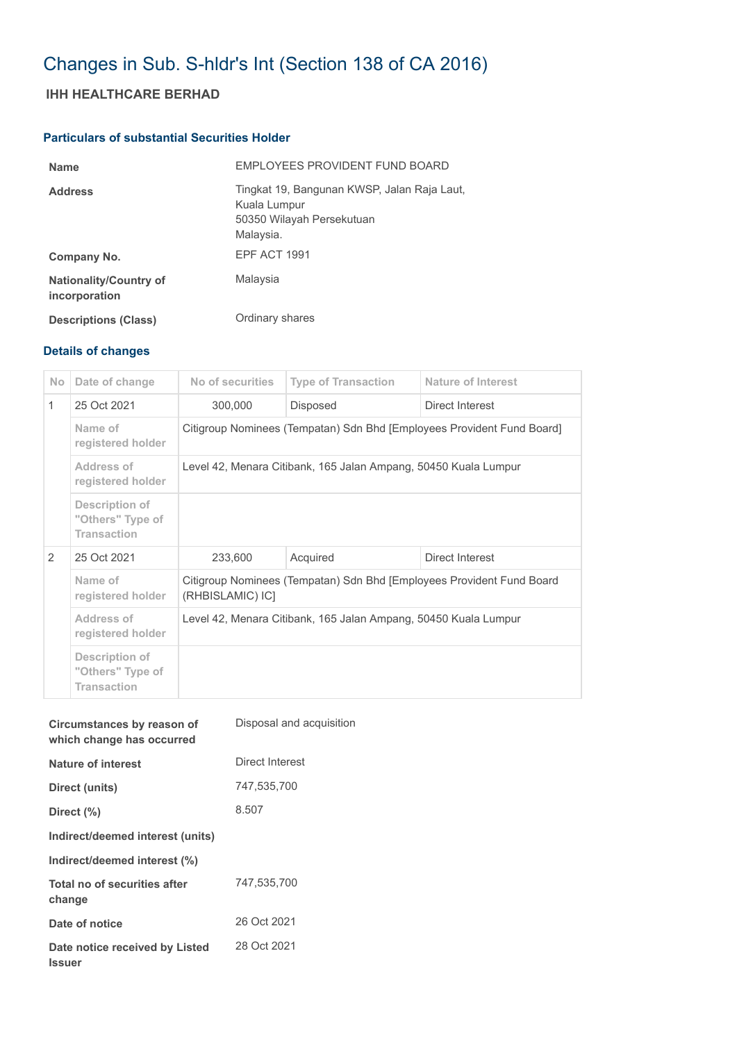# Changes in Sub. S-hldr's Int (Section 138 of CA 2016)

## **IHH HEALTHCARE BERHAD**

#### **Particulars of substantial Securities Holder**

| <b>Name</b>                                    | EMPLOYEES PROVIDENT FUND BOARD                                                                        |
|------------------------------------------------|-------------------------------------------------------------------------------------------------------|
| <b>Address</b>                                 | Tingkat 19, Bangunan KWSP, Jalan Raja Laut,<br>Kuala Lumpur<br>50350 Wilayah Persekutuan<br>Malaysia. |
| Company No.                                    | EPF ACT 1991                                                                                          |
| <b>Nationality/Country of</b><br>incorporation | Malaysia                                                                                              |
| <b>Descriptions (Class)</b>                    | Ordinary shares                                                                                       |

## **Details of changes**

| N <sub>o</sub> | Date of change                                           | No of securities                                                                          | <b>Type of Transaction</b> | Nature of Interest |  |
|----------------|----------------------------------------------------------|-------------------------------------------------------------------------------------------|----------------------------|--------------------|--|
| 1              | 25 Oct 2021                                              | 300,000                                                                                   | Disposed                   | Direct Interest    |  |
|                | Name of<br>registered holder                             | Citigroup Nominees (Tempatan) Sdn Bhd [Employees Provident Fund Board]                    |                            |                    |  |
|                | Address of<br>registered holder                          | Level 42, Menara Citibank, 165 Jalan Ampang, 50450 Kuala Lumpur                           |                            |                    |  |
|                | Description of<br>"Others" Type of<br><b>Transaction</b> |                                                                                           |                            |                    |  |
| 2              | 25 Oct 2021                                              | 233,600                                                                                   | Acquired                   | Direct Interest    |  |
|                | Name of<br>registered holder                             | Citigroup Nominees (Tempatan) Sdn Bhd [Employees Provident Fund Board<br>(RHBISLAMIC) IC] |                            |                    |  |
|                | Address of<br>registered holder                          | Level 42, Menara Citibank, 165 Jalan Ampang, 50450 Kuala Lumpur                           |                            |                    |  |
|                | Description of<br>"Others" Type of<br><b>Transaction</b> |                                                                                           |                            |                    |  |

| Circumstances by reason of<br>which change has occurred | Disposal and acquisition |
|---------------------------------------------------------|--------------------------|
| Nature of interest                                      | Direct Interest          |
| Direct (units)                                          | 747,535,700              |
| Direct (%)                                              | 8.507                    |
| Indirect/deemed interest (units)                        |                          |
| Indirect/deemed interest (%)                            |                          |
| Total no of securities after<br>change                  | 747,535,700              |
| Date of notice                                          | 26 Oct 2021              |
| Date notice received by Listed<br><b>Issuer</b>         | 28 Oct 2021              |